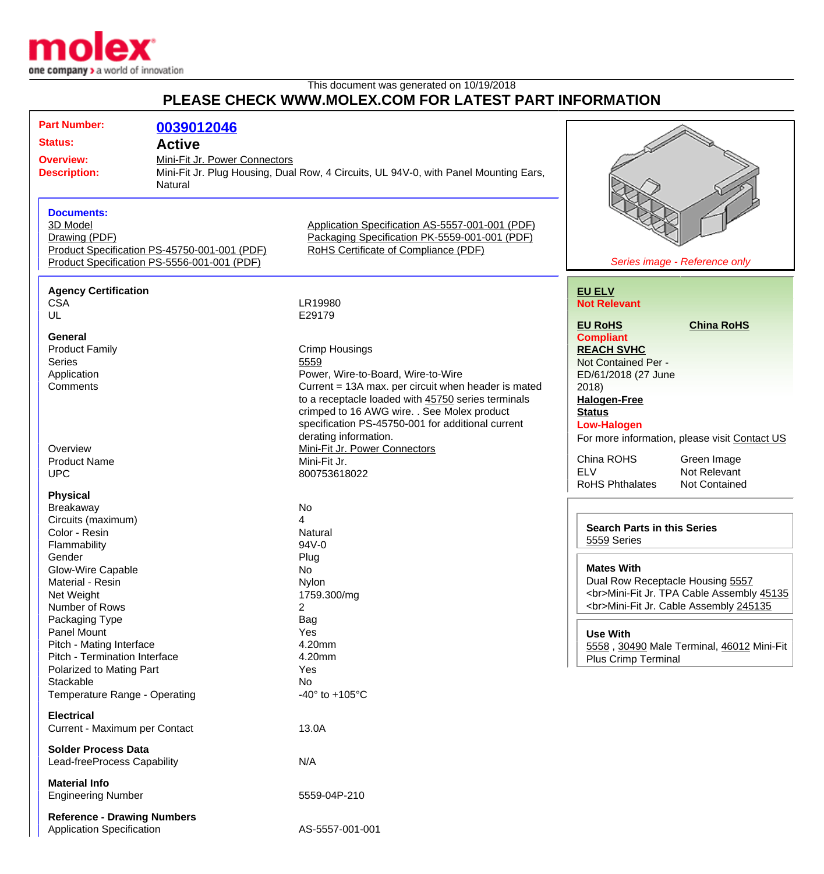

## This document was generated on 10/19/2018 **PLEASE CHECK WWW.MOLEX.COM FOR LATEST PART INFORMATION**

| <b>Part Number:</b>                                                                                                                                                         | 0039012046                                   |                                                     |                                               |
|-----------------------------------------------------------------------------------------------------------------------------------------------------------------------------|----------------------------------------------|-----------------------------------------------------|-----------------------------------------------|
| <b>Status:</b>                                                                                                                                                              | <b>Active</b>                                |                                                     |                                               |
| Mini-Fit Jr. Power Connectors<br><b>Overview:</b><br>Mini-Fit Jr. Plug Housing, Dual Row, 4 Circuits, UL 94V-0, with Panel Mounting Ears,<br><b>Description:</b><br>Natural |                                              |                                                     |                                               |
|                                                                                                                                                                             |                                              |                                                     |                                               |
|                                                                                                                                                                             |                                              |                                                     |                                               |
|                                                                                                                                                                             |                                              |                                                     |                                               |
| <b>Documents:</b>                                                                                                                                                           |                                              |                                                     |                                               |
| 3D Model                                                                                                                                                                    |                                              | Application Specification AS-5557-001-001 (PDF)     |                                               |
| Drawing (PDF)                                                                                                                                                               |                                              | Packaging Specification PK-5559-001-001 (PDF)       |                                               |
|                                                                                                                                                                             | Product Specification PS-45750-001-001 (PDF) | RoHS Certificate of Compliance (PDF)                |                                               |
|                                                                                                                                                                             | Product Specification PS-5556-001-001 (PDF)  |                                                     | Series image - Reference only                 |
| <b>Agency Certification</b>                                                                                                                                                 |                                              |                                                     | <b>EU ELV</b>                                 |
| <b>CSA</b>                                                                                                                                                                  |                                              | LR19980                                             | <b>Not Relevant</b>                           |
| UL                                                                                                                                                                          |                                              | E29179                                              |                                               |
|                                                                                                                                                                             |                                              |                                                     | <b>EU RoHS</b><br><b>China RoHS</b>           |
| <b>General</b>                                                                                                                                                              |                                              |                                                     | <b>Compliant</b>                              |
| <b>Product Family</b>                                                                                                                                                       |                                              | <b>Crimp Housings</b>                               | <b>REACH SVHC</b>                             |
| <b>Series</b>                                                                                                                                                               |                                              | 5559                                                | Not Contained Per -                           |
| Application                                                                                                                                                                 |                                              | Power, Wire-to-Board, Wire-to-Wire                  | ED/61/2018 (27 June                           |
| Comments                                                                                                                                                                    |                                              | Current = 13A max. per circuit when header is mated | 2018                                          |
|                                                                                                                                                                             |                                              | to a receptacle loaded with 45750 series terminals  | <b>Halogen-Free</b>                           |
|                                                                                                                                                                             |                                              | crimped to 16 AWG wire. . See Molex product         | <b>Status</b>                                 |
|                                                                                                                                                                             |                                              | specification PS-45750-001 for additional current   | <b>Low-Halogen</b>                            |
|                                                                                                                                                                             |                                              | derating information.                               | For more information, please visit Contact US |
| Overview                                                                                                                                                                    |                                              | Mini-Fit Jr. Power Connectors                       | China ROHS                                    |
| <b>Product Name</b>                                                                                                                                                         |                                              | Mini-Fit Jr.                                        | Green Image<br><b>ELV</b><br>Not Relevant     |
| <b>UPC</b>                                                                                                                                                                  |                                              | 800753618022                                        | <b>RoHS Phthalates</b><br>Not Contained       |
| <b>Physical</b>                                                                                                                                                             |                                              |                                                     |                                               |
| Breakaway                                                                                                                                                                   |                                              | No                                                  |                                               |
| Circuits (maximum)                                                                                                                                                          |                                              | 4                                                   |                                               |
| Color - Resin                                                                                                                                                               |                                              | Natural                                             | <b>Search Parts in this Series</b>            |
| Flammability                                                                                                                                                                |                                              | 94V-0                                               | 5559 Series                                   |
| Gender                                                                                                                                                                      |                                              | Plug                                                |                                               |
| <b>Glow-Wire Capable</b>                                                                                                                                                    |                                              | No                                                  | <b>Mates With</b>                             |
| Material - Resin                                                                                                                                                            |                                              | Nylon                                               | Dual Row Receptacle Housing 5557              |
| Net Weight                                                                                                                                                                  |                                              | 1759.300/mg                                         | <br>Mini-Fit Jr. TPA Cable Assembly 45135     |
| Number of Rows                                                                                                                                                              |                                              | $\overline{2}$                                      | <br>Mini-Fit Jr. Cable Assembly 245135        |
| Packaging Type                                                                                                                                                              |                                              | <b>Bag</b>                                          |                                               |
| Panel Mount                                                                                                                                                                 |                                              | Yes                                                 | <b>Use With</b>                               |
| Pitch - Mating Interface                                                                                                                                                    |                                              | 4.20mm                                              | 5558, 30490 Male Terminal, 46012 Mini-Fit     |
| Pitch - Termination Interface                                                                                                                                               |                                              | 4.20mm                                              | <b>Plus Crimp Terminal</b>                    |
| Polarized to Mating Part                                                                                                                                                    |                                              | Yes                                                 |                                               |
| Stackable                                                                                                                                                                   |                                              | No                                                  |                                               |
| Temperature Range - Operating                                                                                                                                               |                                              | -40 $\degree$ to +105 $\degree$ C                   |                                               |
|                                                                                                                                                                             |                                              |                                                     |                                               |
| <b>Electrical</b>                                                                                                                                                           |                                              |                                                     |                                               |
| Current - Maximum per Contact                                                                                                                                               |                                              | 13.0A                                               |                                               |
| <b>Solder Process Data</b>                                                                                                                                                  |                                              |                                                     |                                               |
| Lead-freeProcess Capability                                                                                                                                                 |                                              | N/A                                                 |                                               |
|                                                                                                                                                                             |                                              |                                                     |                                               |
| <b>Material Info</b>                                                                                                                                                        |                                              |                                                     |                                               |
| <b>Engineering Number</b>                                                                                                                                                   |                                              | 5559-04P-210                                        |                                               |
| <b>Reference - Drawing Numbers</b>                                                                                                                                          |                                              |                                                     |                                               |
| <b>Application Specification</b>                                                                                                                                            |                                              | AS-5557-001-001                                     |                                               |